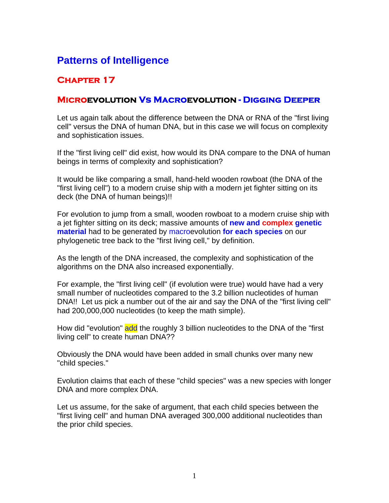# **Patterns of Intelligence**

## **Chapter 17**

### **Microevolution Vs Macroevolution - Digging Deeper**

Let us again talk about the difference between the DNA or RNA of the "first living cell" versus the DNA of human DNA, but in this case we will focus on complexity and sophistication issues.

If the "first living cell" did exist, how would its DNA compare to the DNA of human beings in terms of complexity and sophistication?

It would be like comparing a small, hand-held wooden rowboat (the DNA of the "first living cell") to a modern cruise ship with a modern jet fighter sitting on its deck (the DNA of human beings)!!

For evolution to jump from a small, wooden rowboat to a modern cruise ship with a jet fighter sitting on its deck; massive amounts of **new and complex genetic material** had to be generated by macroevolution **for each species** on our phylogenetic tree back to the "first living cell," by definition.

As the length of the DNA increased, the complexity and sophistication of the algorithms on the DNA also increased exponentially.

For example, the "first living cell" (if evolution were true) would have had a very small number of nucleotides compared to the 3.2 billion nucleotides of human DNA!! Let us pick a number out of the air and say the DNA of the "first living cell" had 200,000,000 nucleotides (to keep the math simple).

How did "evolution" add the roughly 3 billion nucleotides to the DNA of the "first living cell" to create human DNA??

Obviously the DNA would have been added in small chunks over many new "child species."

Evolution claims that each of these "child species" was a new species with longer DNA and more complex DNA.

Let us assume, for the sake of argument, that each child species between the "first living cell" and human DNA averaged 300,000 additional nucleotides than the prior child species.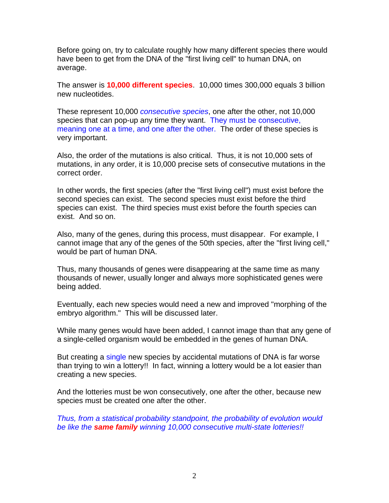Before going on, try to calculate roughly how many different species there would have been to get from the DNA of the "first living cell" to human DNA, on average.

The answer is **10,000 different species**. 10,000 times 300,000 equals 3 billion new nucleotides.

These represent 10,000 *consecutive species*, one after the other, not 10,000 species that can pop-up any time they want. They must be consecutive, meaning one at a time, and one after the other. The order of these species is very important.

Also, the order of the mutations is also critical. Thus, it is not 10,000 sets of mutations, in any order, it is 10,000 precise sets of consecutive mutations in the correct order.

In other words, the first species (after the "first living cell") must exist before the second species can exist. The second species must exist before the third species can exist. The third species must exist before the fourth species can exist. And so on.

Also, many of the genes, during this process, must disappear. For example, I cannot image that any of the genes of the 50th species, after the "first living cell," would be part of human DNA.

Thus, many thousands of genes were disappearing at the same time as many thousands of newer, usually longer and always more sophisticated genes were being added.

Eventually, each new species would need a new and improved "morphing of the embryo algorithm." This will be discussed later.

While many genes would have been added, I cannot image than that any gene of a single-celled organism would be embedded in the genes of human DNA.

But creating a single new species by accidental mutations of DNA is far worse than trying to win a lottery!! In fact, winning a lottery would be a lot easier than creating a new species.

And the lotteries must be won consecutively, one after the other, because new species must be created one after the other.

*Thus, from a statistical probability standpoint, the probability of evolution would be like the same family winning 10,000 consecutive multi-state lotteries!!*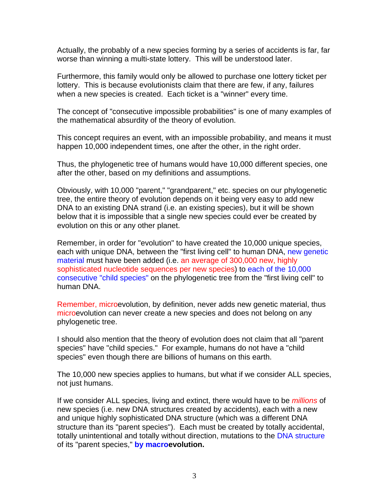Actually, the probably of a new species forming by a series of accidents is far, far worse than winning a multi-state lottery. This will be understood later.

Furthermore, this family would only be allowed to purchase one lottery ticket per lottery. This is because evolutionists claim that there are few, if any, failures when a new species is created. Each ticket is a "winner" every time.

The concept of "consecutive impossible probabilities" is one of many examples of the mathematical absurdity of the theory of evolution.

This concept requires an event, with an impossible probability, and means it must happen 10,000 independent times, one after the other, in the right order.

Thus, the phylogenetic tree of humans would have 10,000 different species, one after the other, based on my definitions and assumptions.

Obviously, with 10,000 "parent," "grandparent," etc. species on our phylogenetic tree, the entire theory of evolution depends on it being very easy to add new DNA to an existing DNA strand (i.e. an existing species), but it will be shown below that it is impossible that a single new species could ever be created by evolution on this or any other planet.

Remember, in order for "evolution" to have created the 10,000 unique species, each with unique DNA, between the "first living cell" to human DNA, new genetic material must have been added (i.e. an average of 300,000 new, highly sophisticated nucleotide sequences per new species) to each of the 10,000 consecutive "child species" on the phylogenetic tree from the "first living cell" to human DNA.

Remember, microevolution, by definition, never adds new genetic material, thus microevolution can never create a new species and does not belong on any phylogenetic tree.

I should also mention that the theory of evolution does not claim that all "parent species" have "child species." For example, humans do not have a "child species" even though there are billions of humans on this earth.

The 10,000 new species applies to humans, but what if we consider ALL species, not just humans.

If we consider ALL species, living and extinct, there would have to be *millions* of new species (i.e. new DNA structures created by accidents), each with a new and unique highly sophisticated DNA structure (which was a different DNA structure than its "parent species"). Each must be created by totally accidental, totally unintentional and totally without direction, mutations to the DNA structure of its "parent species," **by macroevolution.**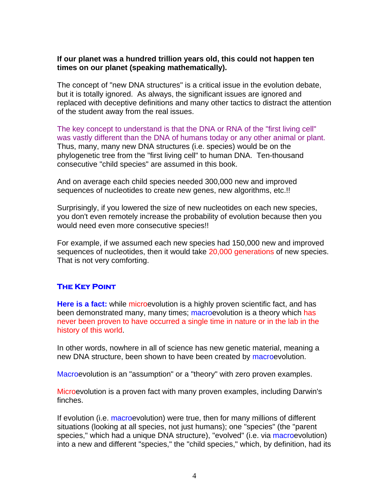#### **If our planet was a hundred trillion years old, this could not happen ten times on our planet (speaking mathematically).**

The concept of "new DNA structures" is a critical issue in the evolution debate, but it is totally ignored. As always, the significant issues are ignored and replaced with deceptive definitions and many other tactics to distract the attention of the student away from the real issues.

The key concept to understand is that the DNA or RNA of the "first living cell" was vastly different than the DNA of humans today or any other animal or plant. Thus, many, many new DNA structures (i.e. species) would be on the phylogenetic tree from the "first living cell" to human DNA. Ten-thousand consecutive "child species" are assumed in this book.

And on average each child species needed 300,000 new and improved sequences of nucleotides to create new genes, new algorithms, etc.!!

Surprisingly, if you lowered the size of new nucleotides on each new species, you don't even remotely increase the probability of evolution because then you would need even more consecutive species!!

For example, if we assumed each new species had 150,000 new and improved sequences of nucleotides, then it would take 20,000 generations of new species. That is not very comforting.

#### **The Key Point**

**Here is a fact:** while microevolution is a highly proven scientific fact, and has been demonstrated many, many times; macroevolution is a theory which has never been proven to have occurred a single time in nature or in the lab in the history of this world.

In other words, nowhere in all of science has new genetic material, meaning a new DNA structure, been shown to have been created by macroevolution.

Macroevolution is an "assumption" or a "theory" with zero proven examples.

Microevolution is a proven fact with many proven examples, including Darwin's finches.

If evolution (i.e. macroevolution) were true, then for many millions of different situations (looking at all species, not just humans); one "species" (the "parent species," which had a unique DNA structure), "evolved" (i.e. via macroevolution) into a new and different "species," the "child species," which, by definition, had its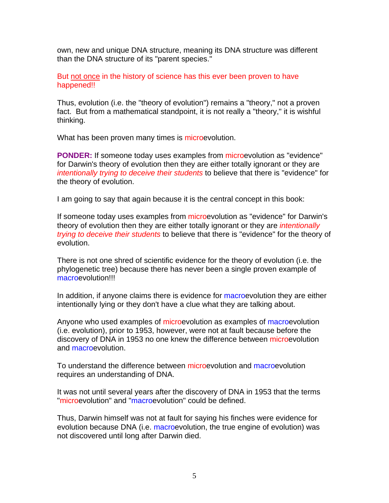own, new and unique DNA structure, meaning its DNA structure was different than the DNA structure of its "parent species."

But not once in the history of science has this ever been proven to have happened!!

Thus, evolution (i.e. the "theory of evolution") remains a "theory," not a proven fact. But from a mathematical standpoint, it is not really a "theory," it is wishful thinking.

What has been proven many times is microevolution.

**PONDER:** If someone today uses examples from microevolution as "evidence" for Darwin's theory of evolution then they are either totally ignorant or they are *intentionally trying to deceive their students* to believe that there is "evidence" for the theory of evolution.

I am going to say that again because it is the central concept in this book:

If someone today uses examples from microevolution as "evidence" for Darwin's theory of evolution then they are either totally ignorant or they are *intentionally trying to deceive their students* to believe that there is "evidence" for the theory of evolution.

There is not one shred of scientific evidence for the theory of evolution (i.e. the phylogenetic tree) because there has never been a single proven example of macroevolution!!!

In addition, if anyone claims there is evidence for macroevolution they are either intentionally lying or they don't have a clue what they are talking about.

Anyone who used examples of microevolution as examples of macroevolution (i.e. evolution), prior to 1953, however, were not at fault because before the discovery of DNA in 1953 no one knew the difference between microevolution and macroevolution.

To understand the difference between microevolution and macroevolution requires an understanding of DNA.

It was not until several years after the discovery of DNA in 1953 that the terms "microevolution" and "macroevolution" could be defined.

Thus, Darwin himself was not at fault for saying his finches were evidence for evolution because DNA (i.e. macroevolution, the true engine of evolution) was not discovered until long after Darwin died.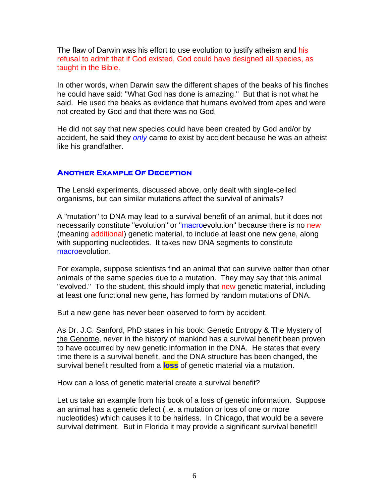The flaw of Darwin was his effort to use evolution to justify atheism and his refusal to admit that if God existed, God could have designed all species, as taught in the Bible.

In other words, when Darwin saw the different shapes of the beaks of his finches he could have said: "What God has done is amazing." But that is not what he said. He used the beaks as evidence that humans evolved from apes and were not created by God and that there was no God.

He did not say that new species could have been created by God and/or by accident, he said they *only* came to exist by accident because he was an atheist like his grandfather.

#### **Another Example Of Deception**

The Lenski experiments, discussed above, only dealt with single-celled organisms, but can similar mutations affect the survival of animals?

A "mutation" to DNA may lead to a survival benefit of an animal, but it does not necessarily constitute "evolution" or "macroevolution" because there is no new (meaning additional) genetic material, to include at least one new gene, along with supporting nucleotides. It takes new DNA segments to constitute macroevolution.

For example, suppose scientists find an animal that can survive better than other animals of the same species due to a mutation. They may say that this animal "evolved." To the student, this should imply that new genetic material, including at least one functional new gene, has formed by random mutations of DNA.

But a new gene has never been observed to form by accident.

As Dr. J.C. Sanford, PhD states in his book: Genetic Entropy & The Mystery of the Genome, never in the history of mankind has a survival benefit been proven to have occurred by new genetic information in the DNA. He states that every time there is a survival benefit, and the DNA structure has been changed, the survival benefit resulted from a **loss** of genetic material via a mutation.

How can a loss of genetic material create a survival benefit?

Let us take an example from his book of a loss of genetic information. Suppose an animal has a genetic defect (i.e. a mutation or loss of one or more nucleotides) which causes it to be hairless. In Chicago, that would be a severe survival detriment. But in Florida it may provide a significant survival benefit!!